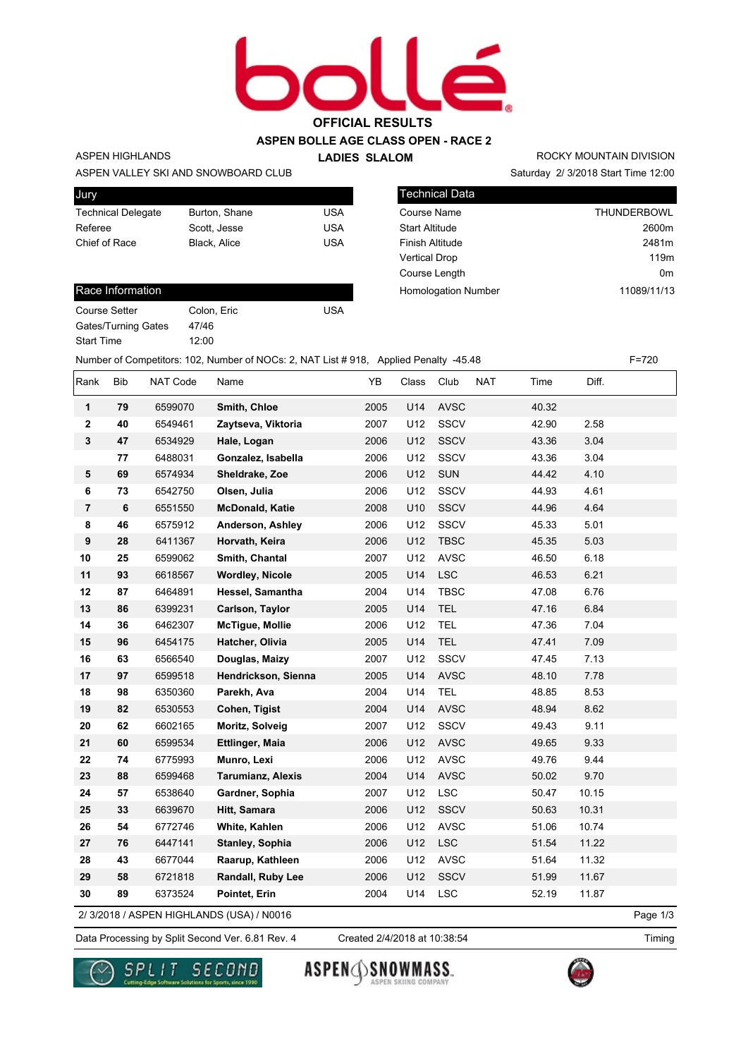# **OFFICIAL RESULTS**

## **ASPEN BOLLE AGE CLASS OPEN - RACE 2**

#### ASPEN HIGHLANDS

**LADIES SLALOM** 

Saturday 2/ 3/2018 Start Time 12:00 ROCKY MOUNTAIN DIVISION

| Jury                      |               |     |
|---------------------------|---------------|-----|
| <b>Technical Delegate</b> | Burton, Shane | USA |
| Referee                   | Scott. Jesse  | USA |
| Chief of Race             | Black, Alice  | USA |
|                           |               |     |

47/46 12:00

ASPEN VALLEY SKI AND SNOWBOARD CLUB

| <b>Technical Data</b>      |                    |
|----------------------------|--------------------|
| Course Name                | <b>THUNDERBOWL</b> |
| <b>Start Altitude</b>      | 2600m              |
| Finish Altitude            | 2481m              |
| <b>Vertical Drop</b>       | 119 <sub>m</sub>   |
| Course Length              | 0m                 |
| <b>Homologation Number</b> | 11089/11/13        |

#### Race Information

| Course Setter              |  |
|----------------------------|--|
| <b>Gates/Turning Gates</b> |  |
| <b>Start Time</b>          |  |

Colon, Eric USA

Number of Competitors: 102, Number of NOCs: 2, NAT List # 918, Applied Penalty -45.48 F=720

| Rank             | Bib | NAT Code | Name                                     | YB   | Class | Club        | <b>NAT</b> | Time  | Diff. |          |
|------------------|-----|----------|------------------------------------------|------|-------|-------------|------------|-------|-------|----------|
| $\mathbf{1}$     | 79  | 6599070  | Smith, Chloe                             | 2005 | U14   | <b>AVSC</b> |            | 40.32 |       |          |
| $\mathbf 2$      | 40  | 6549461  | Zaytseva, Viktoria                       | 2007 | U12   | <b>SSCV</b> |            | 42.90 | 2.58  |          |
| $\mathbf{3}$     | 47  | 6534929  | Hale, Logan                              | 2006 | U12   | <b>SSCV</b> |            | 43.36 | 3.04  |          |
|                  | 77  | 6488031  | Gonzalez, Isabella                       | 2006 | U12   | <b>SSCV</b> |            | 43.36 | 3.04  |          |
| 5                | 69  | 6574934  | Sheldrake, Zoe                           | 2006 | U12   | <b>SUN</b>  |            | 44.42 | 4.10  |          |
| 6                | 73  | 6542750  | Olsen, Julia                             | 2006 | U12   | SSCV        |            | 44.93 | 4.61  |          |
| $\overline{7}$   | 6   | 6551550  | <b>McDonald, Katie</b>                   | 2008 | U10   | <b>SSCV</b> |            | 44.96 | 4.64  |          |
| 8                | 46  | 6575912  | Anderson, Ashley                         | 2006 | U12   | SSCV        |            | 45.33 | 5.01  |          |
| $\boldsymbol{9}$ | 28  | 6411367  | Horvath, Keira                           | 2006 | U12   | <b>TBSC</b> |            | 45.35 | 5.03  |          |
| 10               | 25  | 6599062  | Smith, Chantal                           | 2007 | U12   | <b>AVSC</b> |            | 46.50 | 6.18  |          |
| 11               | 93  | 6618567  | <b>Wordley, Nicole</b>                   | 2005 | U14   | <b>LSC</b>  |            | 46.53 | 6.21  |          |
| 12               | 87  | 6464891  | Hessel, Samantha                         | 2004 | U14   | <b>TBSC</b> |            | 47.08 | 6.76  |          |
| 13               | 86  | 6399231  | Carlson, Taylor                          | 2005 | U14   | <b>TEL</b>  |            | 47.16 | 6.84  |          |
| 14               | 36  | 6462307  | <b>McTigue, Mollie</b>                   | 2006 | U12   | <b>TEL</b>  |            | 47.36 | 7.04  |          |
| 15               | 96  | 6454175  | Hatcher, Olivia                          | 2005 | U14   | <b>TEL</b>  |            | 47.41 | 7.09  |          |
| 16               | 63  | 6566540  | Douglas, Maizy                           | 2007 | U12   | SSCV        |            | 47.45 | 7.13  |          |
| 17               | 97  | 6599518  | Hendrickson, Sienna                      | 2005 | U14   | <b>AVSC</b> |            | 48.10 | 7.78  |          |
| 18               | 98  | 6350360  | Parekh, Ava                              | 2004 | U14   | <b>TEL</b>  |            | 48.85 | 8.53  |          |
| 19               | 82  | 6530553  | Cohen, Tigist                            | 2004 | U14   | <b>AVSC</b> |            | 48.94 | 8.62  |          |
| 20               | 62  | 6602165  | Moritz, Solveig                          | 2007 | U12   | SSCV        |            | 49.43 | 9.11  |          |
| 21               | 60  | 6599534  | <b>Ettlinger, Maia</b>                   | 2006 | U12   | <b>AVSC</b> |            | 49.65 | 9.33  |          |
| 22               | 74  | 6775993  | Munro, Lexi                              | 2006 | U12   | <b>AVSC</b> |            | 49.76 | 9.44  |          |
| 23               | 88  | 6599468  | <b>Tarumianz, Alexis</b>                 | 2004 | U14   | <b>AVSC</b> |            | 50.02 | 9.70  |          |
| 24               | 57  | 6538640  | Gardner, Sophia                          | 2007 | U12   | <b>LSC</b>  |            | 50.47 | 10.15 |          |
| 25               | 33  | 6639670  | Hitt, Samara                             | 2006 | U12   | SSCV        |            | 50.63 | 10.31 |          |
| 26               | 54  | 6772746  | White, Kahlen                            | 2006 | U12   | <b>AVSC</b> |            | 51.06 | 10.74 |          |
| 27               | 76  | 6447141  | Stanley, Sophia                          | 2006 | U12   | LSC         |            | 51.54 | 11.22 |          |
| 28               | 43  | 6677044  | Raarup, Kathleen                         | 2006 | U12   | <b>AVSC</b> |            | 51.64 | 11.32 |          |
| 29               | 58  | 6721818  | Randall, Ruby Lee                        | 2006 | U12   | SSCV        |            | 51.99 | 11.67 |          |
| 30               | 89  | 6373524  | Pointet, Erin                            | 2004 | U14   | LSC         |            | 52.19 | 11.87 |          |
|                  |     |          | 2/3/2018 / ASPEN HIGHLANDS (USA) / N0016 |      |       |             |            |       |       | Page 1/3 |

Data Processing by Split Second Ver. 6.81 Rev. 4 Created 2/4/2018 at 10:38:54 Timing

Created 2/4/2018 at 10:38:54

Page 1/3





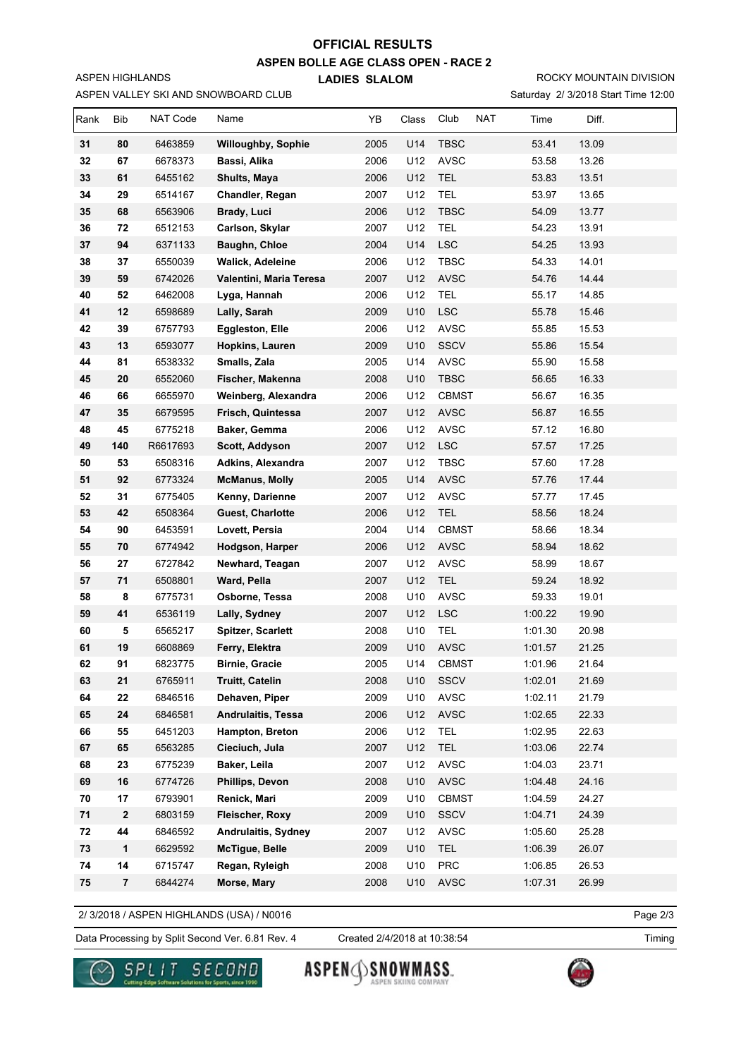# **OFFICIAL RESULTS**

**ASPEN BOLLE AGE CLASS OPEN - RACE 2**

**LADIES SLALOM** 

Saturday 2/ 3/2018 Start Time 12:00 ROCKY MOUNTAIN DIVISION

| Rank     | Bib      | NAT Code           | Name                                     | YB           | Class      | Club<br><b>NAT</b> | Time               | Diff.          |  |
|----------|----------|--------------------|------------------------------------------|--------------|------------|--------------------|--------------------|----------------|--|
| 31       | 80       | 6463859            | <b>Willoughby, Sophie</b>                | 2005         | U14        | <b>TBSC</b>        | 53.41              | 13.09          |  |
| 32       | 67       | 6678373            | Bassi, Alika                             | 2006         | U12        | <b>AVSC</b>        | 53.58              | 13.26          |  |
| 33       | 61       | 6455162            | Shults, Maya                             | 2006         | U12        | <b>TEL</b>         | 53.83              | 13.51          |  |
| 34       | 29       | 6514167            | Chandler, Regan                          | 2007         | U12        | <b>TEL</b>         | 53.97              | 13.65          |  |
| 35       | 68       | 6563906            | Brady, Luci                              | 2006         | U12        | <b>TBSC</b>        | 54.09              | 13.77          |  |
| 36       | 72       | 6512153            | Carlson, Skylar                          | 2007         | U12        | <b>TEL</b>         | 54.23              | 13.91          |  |
| 37       | 94       | 6371133            | Baughn, Chloe                            | 2004         | U14        | <b>LSC</b>         | 54.25              | 13.93          |  |
| 38       | 37       | 6550039            | Walick, Adeleine                         | 2006         | U12        | <b>TBSC</b>        | 54.33              | 14.01          |  |
| 39       | 59       | 6742026            | Valentini, Maria Teresa                  | 2007         | U12        | <b>AVSC</b>        | 54.76              | 14.44          |  |
| 40       | 52       | 6462008            | Lyga, Hannah                             | 2006         | U12        | TEL                | 55.17              | 14.85          |  |
| 41       | 12       | 6598689            | Lally, Sarah                             | 2009         | U10        | <b>LSC</b>         | 55.78              | 15.46          |  |
| 42       | 39       | 6757793            | <b>Eggleston, Elle</b>                   | 2006         | U12        | <b>AVSC</b>        | 55.85              | 15.53          |  |
| 43       | 13       | 6593077            | Hopkins, Lauren                          | 2009         | U10        | SSCV               | 55.86              | 15.54          |  |
| 44       | 81       | 6538332            | Smalls, Zala                             | 2005         | U14        | <b>AVSC</b>        | 55.90              | 15.58          |  |
| 45       | 20       | 6552060            | Fischer, Makenna                         | 2008         | U10        | <b>TBSC</b>        | 56.65              | 16.33          |  |
| 46       | 66       | 6655970            | Weinberg, Alexandra                      | 2006         | U12        | <b>CBMST</b>       | 56.67              | 16.35          |  |
| 47       | 35       | 6679595            | Frisch, Quintessa                        | 2007         | U12        | AVSC               | 56.87              | 16.55          |  |
| 48       | 45       | 6775218            | Baker, Gemma                             | 2006         | U12        | <b>AVSC</b>        | 57.12              | 16.80          |  |
| 49       | 140      | R6617693           | Scott, Addyson                           | 2007         | U12        | <b>LSC</b>         | 57.57              | 17.25          |  |
| 50       | 53       | 6508316            | Adkins, Alexandra                        | 2007         | U12        | <b>TBSC</b>        | 57.60              | 17.28          |  |
| 51       | 92       | 6773324            | <b>McManus, Molly</b>                    | 2005         | U14        | <b>AVSC</b>        | 57.76              | 17.44          |  |
| 52       | 31       | 6775405            | Kenny, Darienne                          | 2007         | U12        | <b>AVSC</b>        | 57.77              | 17.45          |  |
| 53       | 42       | 6508364            | <b>Guest, Charlotte</b>                  | 2006         | U12        | <b>TEL</b>         | 58.56              | 18.24          |  |
| 54       | 90       | 6453591            | Lovett, Persia                           | 2004         | U14        | <b>CBMST</b>       | 58.66              | 18.34          |  |
| 55       | 70       | 6774942            | Hodgson, Harper                          | 2006         | U12        | <b>AVSC</b>        | 58.94              | 18.62          |  |
| 56       | 27       | 6727842            | Newhard, Teagan                          | 2007         | U12        | AVSC               | 58.99              | 18.67          |  |
| 57       | 71       | 6508801            | Ward, Pella                              | 2007         | U12        | <b>TEL</b>         | 59.24              | 18.92          |  |
| 58       | 8        | 6775731            | Osborne, Tessa                           | 2008         | U10        | <b>AVSC</b>        | 59.33              | 19.01          |  |
| 59       | 41       | 6536119            | Lally, Sydney                            | 2007         | U12        | <b>LSC</b>         | 1:00.22            | 19.90          |  |
| 60       | 5        | 6565217            | <b>Spitzer, Scarlett</b>                 | 2008         | U10        | <b>TEL</b>         | 1:01.30            | 20.98          |  |
| 61       | 19       | 6608869            | Ferry, Elektra                           | 2009         | U10        | <b>AVSC</b>        | 1:01.57            | 21.25          |  |
| 62       | 91       | 6823775            | <b>Birnie, Gracie</b>                    | 2005         | U14        | <b>CBMST</b>       | 1:01.96            | 21.64          |  |
| 63       | 21       | 6765911<br>6846516 | <b>Truitt, Catelin</b><br>Dehaven, Piper | 2008         | U10        | <b>SSCV</b>        | 1:02.01            | 21.69          |  |
| 64       | 22       |                    | <b>Andrulaitis, Tessa</b>                | 2009         | U10        | AVSC               | 1:02.11            | 21.79          |  |
| 65<br>66 | 24<br>55 | 6846581<br>6451203 | Hampton, Breton                          | 2006<br>2006 | U12<br>U12 | AVSC<br>TEL        | 1:02.65<br>1:02.95 | 22.33<br>22.63 |  |
| 67       | 65       | 6563285            | Cieciuch, Jula                           | 2007         | U12        | <b>TEL</b>         | 1:03.06            | 22.74          |  |
| 68       | 23       | 6775239            | Baker, Leila                             | 2007         | U12        | AVSC               | 1:04.03            | 23.71          |  |
|          |          |                    |                                          |              | U10        | AVSC               |                    |                |  |
| 69<br>70 | 16<br>17 | 6774726<br>6793901 | <b>Phillips, Devon</b><br>Renick, Mari   | 2008<br>2009 | U10        | <b>CBMST</b>       | 1:04.48<br>1:04.59 | 24.16<br>24.27 |  |
| 71       | 2        | 6803159            | Fleischer, Roxy                          | 2009         | U10        | SSCV               | 1:04.71            | 24.39          |  |
| 72       | 44       | 6846592            | Andrulaitis, Sydney                      | 2007         | U12        | <b>AVSC</b>        | 1:05.60            | 25.28          |  |
| 73       | 1        | 6629592            | <b>McTigue, Belle</b>                    | 2009         | U10        | TEL                | 1:06.39            | 26.07          |  |
| 74       | 14       | 6715747            | Regan, Ryleigh                           | 2008         | U10        | PRC                | 1:06.85            | 26.53          |  |
| 75       | $\bf 7$  | 6844274            | Morse, Mary                              | 2008         | U10        | AVSC               | 1:07.31            | 26.99          |  |
|          |          |                    |                                          |              |            |                    |                    |                |  |

2/ 3/2018 / ASPEN HIGHLANDS (USA) / N0016

ASPEN VALLEY SKI AND SNOWBOARD CLUB

ASPEN HIGHLANDS

Page 2/3

Data Processing by Split Second Ver. 6.81 Rev. 4 Created 2/4/2018 at 10:38:54 Timing

Created 2/4/2018 at 10:38:54